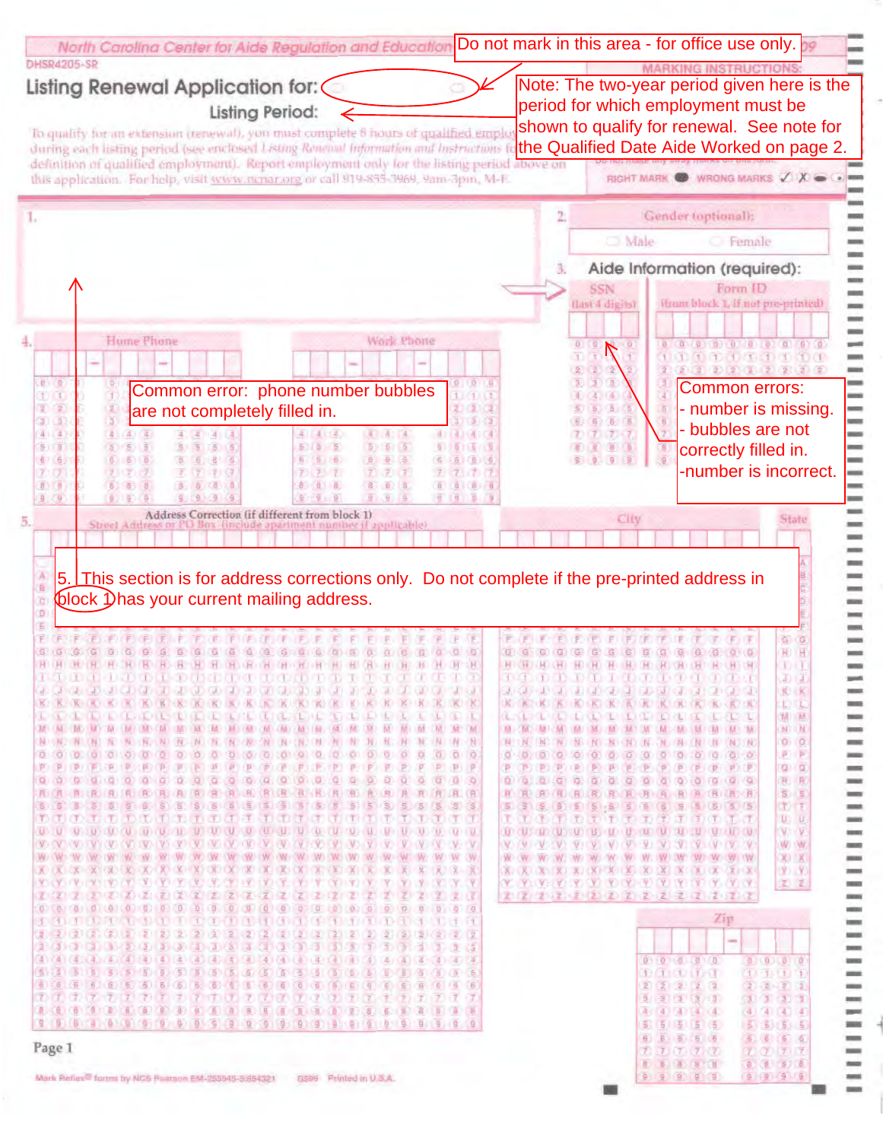| Listing Renewal Application for: (                                                                                                                                                                                                                                              |                             |                             | Note: The two-year period given here is the<br>period for which employment must be                                                                                                                                                      |
|---------------------------------------------------------------------------------------------------------------------------------------------------------------------------------------------------------------------------------------------------------------------------------|-----------------------------|-----------------------------|-----------------------------------------------------------------------------------------------------------------------------------------------------------------------------------------------------------------------------------------|
| <b>Listing Period:</b><br>To qualify for an extension (renewal), you must complete 8 hours of qualified emplo                                                                                                                                                                   |                             |                             | shown to qualify for renewal. See note for                                                                                                                                                                                              |
| during each listing period (see enclosed Listing Renetaal Information and Instructions)                                                                                                                                                                                         |                             |                             | the Qualified Date Aide Worked on page 2.                                                                                                                                                                                               |
| definition of qualified employment). Report employment only for the listing period above on<br>this application. For help, visit www.nenar.org or call 919-855-3969, 9am-3pm, M-F.                                                                                              |                             |                             | RIGHT MARK WRONG MARKS XX                                                                                                                                                                                                               |
|                                                                                                                                                                                                                                                                                 |                             | 2.                          | Gender (optional):                                                                                                                                                                                                                      |
|                                                                                                                                                                                                                                                                                 |                             |                             | Male<br>Female                                                                                                                                                                                                                          |
|                                                                                                                                                                                                                                                                                 |                             | з.                          | Aide Information (required):                                                                                                                                                                                                            |
|                                                                                                                                                                                                                                                                                 |                             |                             | Form ID<br>(from block 1, if not pre-printed)<br>(last 4 digits)                                                                                                                                                                        |
|                                                                                                                                                                                                                                                                                 |                             |                             |                                                                                                                                                                                                                                         |
| <b>Hume Phone</b><br>Work Phone                                                                                                                                                                                                                                                 |                             |                             | 0.169<br>(a) a part part of a part of all of a                                                                                                                                                                                          |
| 0.10                                                                                                                                                                                                                                                                            | 1010                        |                             | $2222$ $22222$<br>Common errors:                                                                                                                                                                                                        |
| Common error: phone number bubbles<br>1)11<br>2(2)<br>are not completely filled in.                                                                                                                                                                                             |                             |                             | - number is missing.                                                                                                                                                                                                                    |
| 31.37<br>41.42<br>a.<br>4 4 (4)                                                                                                                                                                                                                                                 |                             |                             | - bubbles are not                                                                                                                                                                                                                       |
| 5) 13<br>51665<br>5.65<br>5)<br>67 (6)<br>6 5 日<br>电压垒                                                                                                                                                                                                                          |                             |                             | correctly filled in.                                                                                                                                                                                                                    |
| 7:77<br>7.77.7.<br>7777<br>8) 元月<br>8.1<br><b>且】 8</b>                                                                                                                                                                                                                          |                             |                             | -number is incorrect.                                                                                                                                                                                                                   |
| 9 (9)<br>0.1916<br>$9 - 9$<br>$9 - 9 - 4$<br>Address Correction (if different from block 1)                                                                                                                                                                                     |                             |                             |                                                                                                                                                                                                                                         |
| Streel Address<br>finefode apartment number if applicable).                                                                                                                                                                                                                     |                             |                             | City<br>Statu                                                                                                                                                                                                                           |
|                                                                                                                                                                                                                                                                                 |                             |                             |                                                                                                                                                                                                                                         |
| 5. This section is for address corrections only. Do not complete if the pre-printed address in                                                                                                                                                                                  |                             |                             |                                                                                                                                                                                                                                         |
| block 1) has your current mailing address.                                                                                                                                                                                                                                      |                             |                             |                                                                                                                                                                                                                                         |
|                                                                                                                                                                                                                                                                                 |                             |                             |                                                                                                                                                                                                                                         |
|                                                                                                                                                                                                                                                                                 |                             |                             | 谷石                                                                                                                                                                                                                                      |
| HORDER HORDER HORDER HORDER OF DROPE CHILDREN HORDER CHO                                                                                                                                                                                                                        |                             | $G$ .<br><b>HOURS HOURS</b> | H) H<br>$Q(1)$ (G)<br>1983<br><b>BUCHLOR IN CHECHLICHT</b>                                                                                                                                                                              |
| <b>INQUESTION OF A CONFIDENTIAL CONFIDENT</b>                                                                                                                                                                                                                                   |                             |                             | <u>ter med med den den den den </u><br>GD 13.<br>10 10 10 10 10 10 10 10 10 11 12 13 14 15<br><b>KORK</b>                                                                                                                               |
| <b>BE KINS ON KINS OF BEAK OF KINS OF KINS OF KINS OF KINS OF KINS OF</b><br><b>I ARTICLE CONTRACTOR AND A REAL ACTIVITY</b><br>ATTERIARIA                                                                                                                                      |                             |                             | KKKKKK KKKKKKKKKKKKKK<br>L L<br><b>MITAM</b>                                                                                                                                                                                            |
| AND AND AND THE CARD ON A CARD ON THE CARD ON THE CARD ON THE CARD OF<br>(MC UM)<br>M / M<br>ON A 2000 WALLAST THE VIRGINIAL RECORD ON A CONTROL ON A CITY ON A 2000 INC.<br>N<br><b>N. N.</b>                                                                                  |                             |                             | AND CRESTMENTAL TRAFFACTURE CAN CAN CAN CAN CAN CAN CAN CAN<br>$M$ $M$<br>WE ALL MOONE AND MOUND ON THE ONE INTERNATIONAL<br>0.00                                                                                                       |
| 00<br><b>O</b><br>P/IP/                                                                                                                                                                                                                                                         | 0000<br><b>P.P.P.P.P.P.</b> |                             | P <sub>P</sub><br>P. P. P. P. (P. P. P. P. P. P. P. P. P. P. P. P.<br>$Q + Q$                                                                                                                                                           |
| Ø.<br>$\alpha$ $\alpha$<br>D.<br>直通 酒 浪 用 电 用 用 电 通 油 电 用 围 通 用 用 用 用 用 用 用 用 用                                                                                                                                                                                                 |                             |                             | 0 0 0 0 0 0 0 0 0 0 0 0 0 0 0 0<br>R. R.<br><b>H. R. G. (AL (R) B. B. R. B. R. R (B) (B) (B) (B)</b><br>$S \tImes$                                                                                                                      |
| 5 5 8 5 5 6 8 8 3                                                                                                                                                                                                                                                               |                             |                             | <b>DT</b><br>化化化 医中心不同 的复数医的过去式<br>$U$ $U$                                                                                                                                                                                              |
| ON ONE ONE CONTACT THE CHECK OF CHECK ON THE CHECK ONE ONE ONE OF THE CHECK OF THE CONTACT OF THE CHECK ON THE                                                                                                                                                                  |                             |                             | V1 V<br>$\langle \mathbf{V}, \mathbf{W}, \mathbf{V}, \mathbf{V}, \mathbf{W}, \mathbf{V} \rangle$<br>W W.                                                                                                                                |
| <b><i>OWE CAN EMME CANS TWO CAN'T</i></b><br>W<br>$+ W2 + W2$<br>OVER WE ONE DWO ON HWY<br>WA (W) (W)<br>$\mathbf{X} \times \mathbf{X} \times \mathbf{X} \times \mathbf{X} \times \mathbf{X} \times \mathbf{X} \times \mathbf{X} \times \mathbf{X}$<br>A DON CONTROL COM<br>CK- | AVC CW.                     |                             | X) X)<br>$(X, \mathbb{C}) \setminus X \setminus (X, \mathbb{C}) \setminus X \setminus (X, \mathbb{C}) \setminus X \setminus (X, \mathbb{C}) \setminus X \setminus (X, \mathbb{C}) \setminus (X, \mathbb{C}) \setminus X$<br>$(2)$ $(2)$ |
| <b>Y CY TO EXT YO CY!</b><br>V Y Y Y<br>œ<br>Œ<br>(Z)<br>Z)<br>z.<br>D<br>z.                                                                                                                                                                                                    | 221                         |                             | <b>COUNTY OF A REAL PROPERTY OF A REAL</b><br>工艺                                                                                                                                                                                        |
| 0<br>iB)<br>O.<br>10)<br>o<br>$\Omega$<br>$17(3 - 1)$                                                                                                                                                                                                                           | 0, 0.50                     |                             | Zip                                                                                                                                                                                                                                     |
| (2)(2)(2)(2)(2)(2)(3)<br>深<br>$(3)$ $(3)$                                                                                                                                                                                                                                       |                             |                             | $\frac{1}{2} \left( \frac{1}{2} \right) \left( \frac{1}{2} \right) \left( \frac{1}{2} \right)$                                                                                                                                          |
| (4)(4)(5)(4)(4)(4)(4)(4)(4)<br>(4)(4)(4)(4)(4)(4)(4)(4)(4)(4)<br>(五)<br>13 5                                                                                                                                                                                                    |                             |                             | 0.00000000<br>0(0) 0 0<br>10(1)(1)(1)(1)<br>(11131117)                                                                                                                                                                                  |
| 4 5 5 6 6 5 6 5 6 5 6 6 6 6 6 6<br>66 (5)<br>のののひさ カンガ かわかけの かいかけいか おこきか カラスイ                                                                                                                                                                                                   |                             |                             | 22222<br>22222<br>$9 - 3 - (3 - 3 - 1)$<br>$(3)$ $1$ $3$ $3$                                                                                                                                                                            |
|                                                                                                                                                                                                                                                                                 |                             |                             | 4: 4 4 4 4 4<br>(4)(4)(4)(4)<br>5 5 5 5 6<br>5.5(5.5)                                                                                                                                                                                   |
| Page 1                                                                                                                                                                                                                                                                          |                             |                             | 6 6 6 6<br>6.666<br>7.7.7.7.7<br>T(T, T, T)<br><b>B B B 8 (W)</b><br>8.855                                                                                                                                                              |